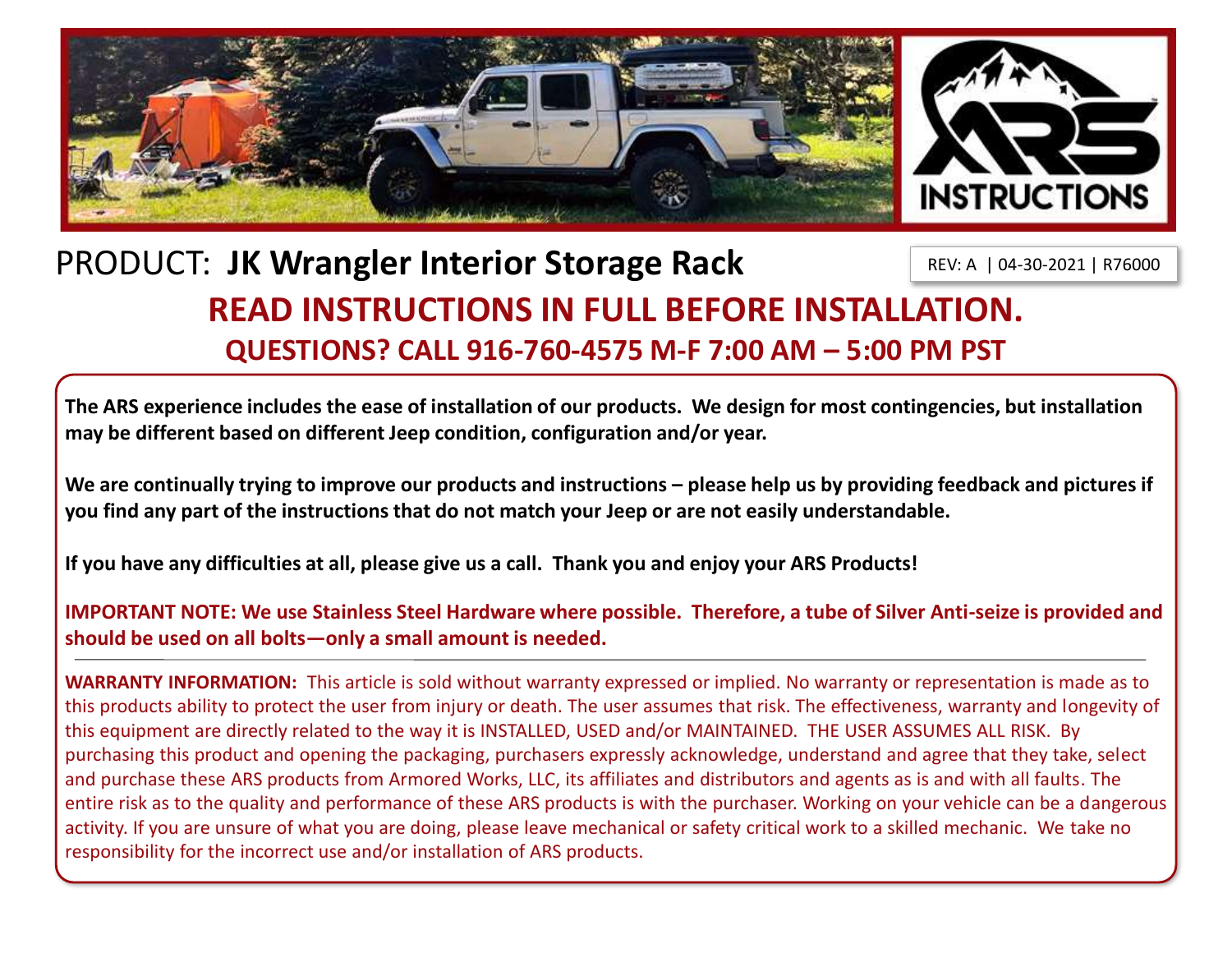

## PRODUCT: **JK Wrangler Interior Storage Rack READ INSTRUCTIONS IN FULL BEFORE INSTALLATION. QUESTIONS? CALL 916-760-4575 M-F 7:00 AM – 5:00 PM PST** REV: A | 04-30-2021 | R76000

**The ARS experience includes the ease of installation of our products. We design for most contingencies, but installation may be different based on different Jeep condition, configuration and/or year.**

We are continually trying to improve our products and instructions – please help us by providing feedback and pictures if **you find any part of the instructions that do not match your Jeep or are not easily understandable.** 

**If you have any difficulties at all, please give us a call. Thank you and enjoy your ARS Products!** 

**IMPORTANT NOTE: We use Stainless Steel Hardware where possible. Therefore, a tube of Silver Anti-seize is provided and should be used on all bolts—only a small amount is needed.**

**WARRANTY INFORMATION:** This article is sold without warranty expressed or implied. No warranty or representation is made as to this products ability to protect the user from injury or death. The user assumes that risk. The effectiveness, warranty and longevity of this equipment are directly related to the way it is INSTALLED, USED and/or MAINTAINED. THE USER ASSUMES ALL RISK. By purchasing this product and opening the packaging, purchasers expressly acknowledge, understand and agree that they take, select and purchase these ARS products from Armored Works, LLC, its affiliates and distributors and agents as is and with all faults. The entire risk as to the quality and performance of these ARS products is with the purchaser. Working on your vehicle can be a dangerous activity. If you are unsure of what you are doing, please leave mechanical or safety critical work to a skilled mechanic. We take no responsibility for the incorrect use and/or installation of ARS products.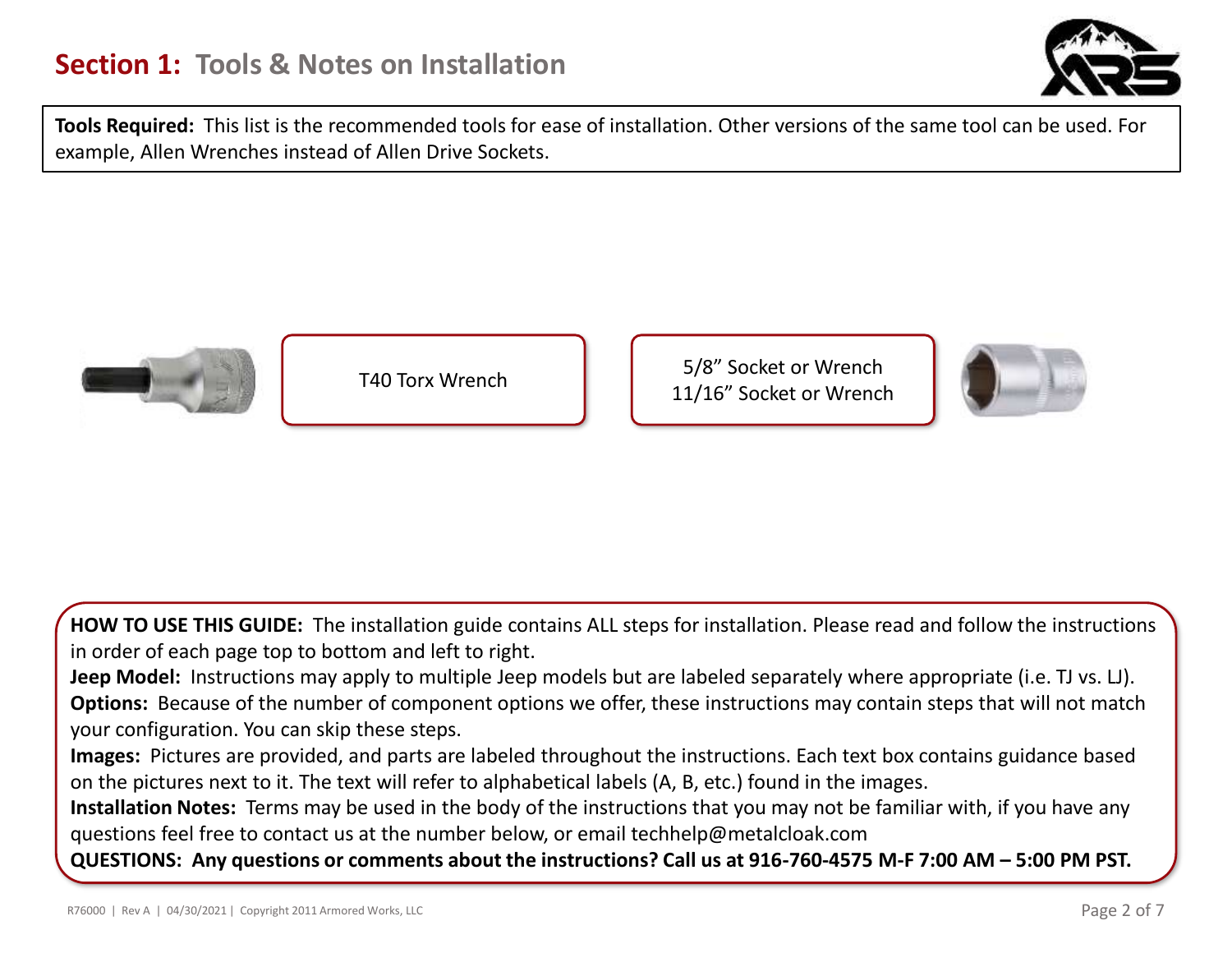

**Tools Required:** This list is the recommended tools for ease of installation. Other versions of the same tool can be used. For example, Allen Wrenches instead of Allen Drive Sockets.



T40 Torx Wrench  $\begin{array}{|c|c|c|c|c|} \hline \quad\quad&5/8''\text{ Socket or Wrench} \end{array}$ 11/16" Socket or Wrench



**HOW TO USE THIS GUIDE:** The installation guide contains ALL steps for installation. Please read and follow the instructions in order of each page top to bottom and left to right.

**Jeep Model:** Instructions may apply to multiple Jeep models but are labeled separately where appropriate (i.e. TJ vs. LJ). **Options:** Because of the number of component options we offer, these instructions may contain steps that will not match your configuration. You can skip these steps.

**Images:** Pictures are provided, and parts are labeled throughout the instructions. Each text box contains guidance based on the pictures next to it. The text will refer to alphabetical labels (A, B, etc.) found in the images.

**Installation Notes:** Terms may be used in the body of the instructions that you may not be familiar with, if you have any questions feel free to contact us at the number below, or email techhelp@metalcloak.com

**QUESTIONS: Any questions or comments about the instructions? Call us at 916-760-4575 M-F 7:00 AM – 5:00 PM PST.**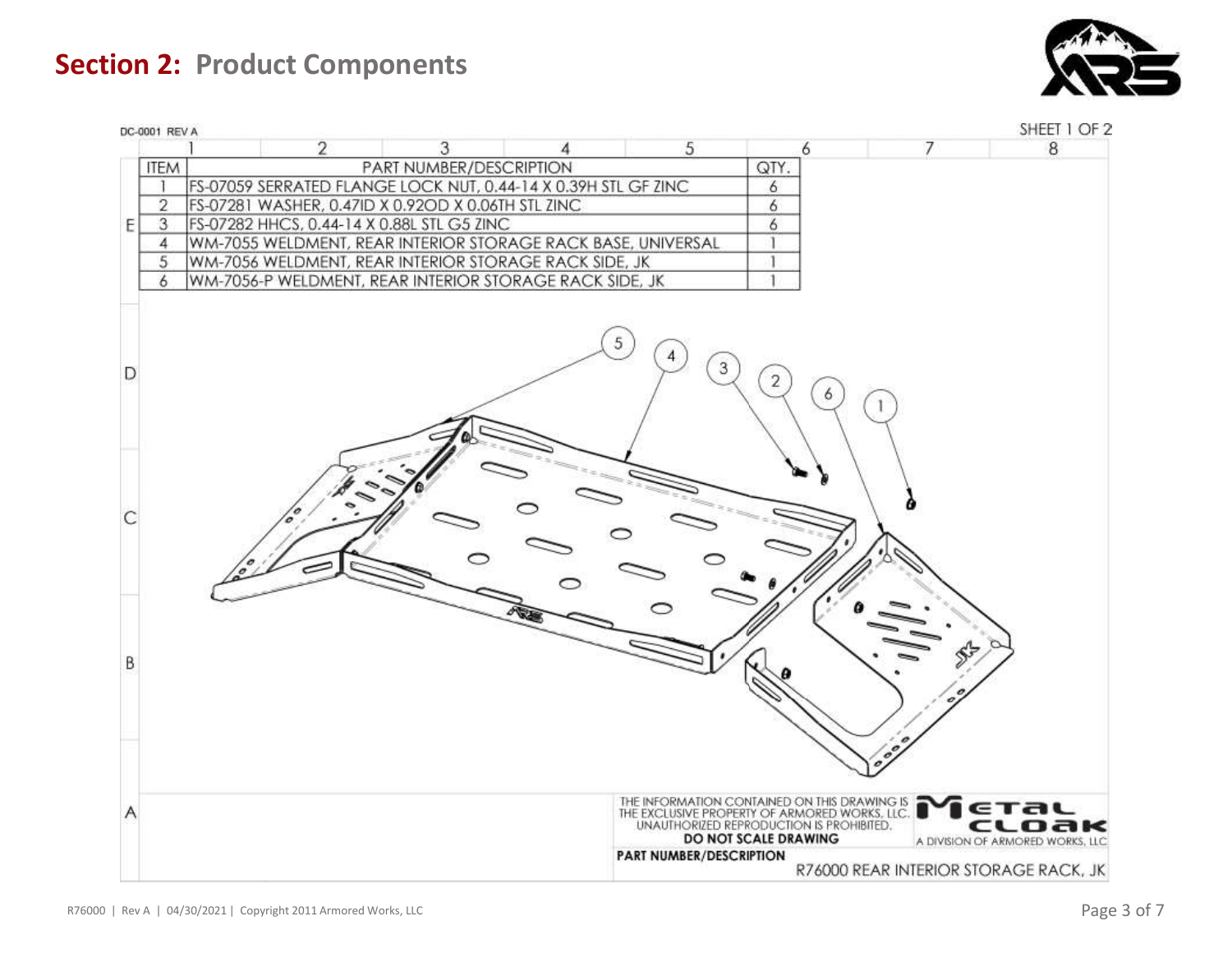**Section 2: Product Components**



| DC-0001 REV A  |                                                                | SHEET 1 OF 2                                                                                                                                                                              |
|----------------|----------------------------------------------------------------|-------------------------------------------------------------------------------------------------------------------------------------------------------------------------------------------|
|                | 2<br>5<br>3                                                    | 7<br>8<br>6                                                                                                                                                                               |
| <b>ITEM</b>    | PART NUMBER/DESCRIPTION                                        | QTY.                                                                                                                                                                                      |
| E              | FS-07059 SERRATED FLANGE LOCK NUT, 0.44-14 X 0.39H STL GF ZINC | 6                                                                                                                                                                                         |
| $\overline{2}$ | FS-07281 WASHER, 0.47ID X 0.92OD X 0.06TH STL ZINC             | 6                                                                                                                                                                                         |
| 3<br>E         | FS-07282 HHCS, 0.44-14 X 0.88L STL G5 ZINC                     | 6                                                                                                                                                                                         |
| 4              | WM-7055 WELDMENT, REAR INTERIOR STORAGE RACK BASE, UNIVERSAL   |                                                                                                                                                                                           |
| 5              | WM-7056 WELDMENT, REAR INTERIOR STORAGE RACK SIDE, JK          |                                                                                                                                                                                           |
| 6              | WM-7056-P WELDMENT, REAR INTERIOR STORAGE RACK SIDE, JK        |                                                                                                                                                                                           |
| D              | 5                                                              | 3<br>2<br>6                                                                                                                                                                               |
|                |                                                                |                                                                                                                                                                                           |
| B              |                                                                |                                                                                                                                                                                           |
| Α              |                                                                | THE INFORMATION CONTAINED ON THIS DRAWING IS<br>THE EXCLUSIVE PROPERTY OF ARMORED WORKS, LLC.<br>ETAL<br>UNAUTHORIZED REPRODUCTION IS PROHIBITED.<br>cloak<br><b>DO NOT SCALE DRAWING</b> |
|                | PART NUMBER/DESCRIPTION                                        | A DIVISION OF ARMORED WORKS, LLC                                                                                                                                                          |
|                |                                                                | R76000 REAR INTERIOR STORAGE RACK, JK                                                                                                                                                     |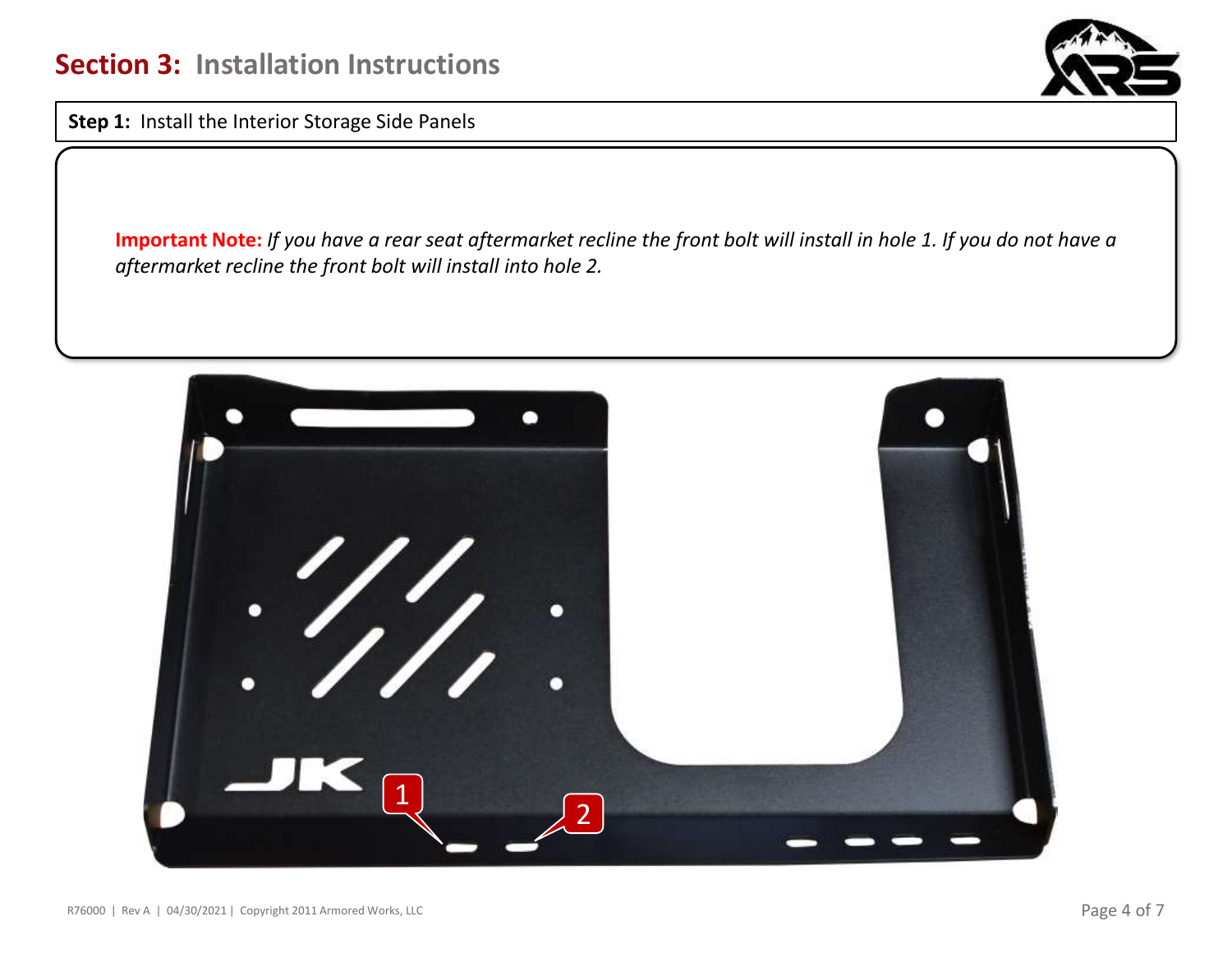

**Step 1:** Install the Interior Storage Side Panels

**Important Note:** *If you have a rear seat aftermarket recline the front bolt will install in hole 1. If you do not have a aftermarket recline the front bolt will install into hole 2.*

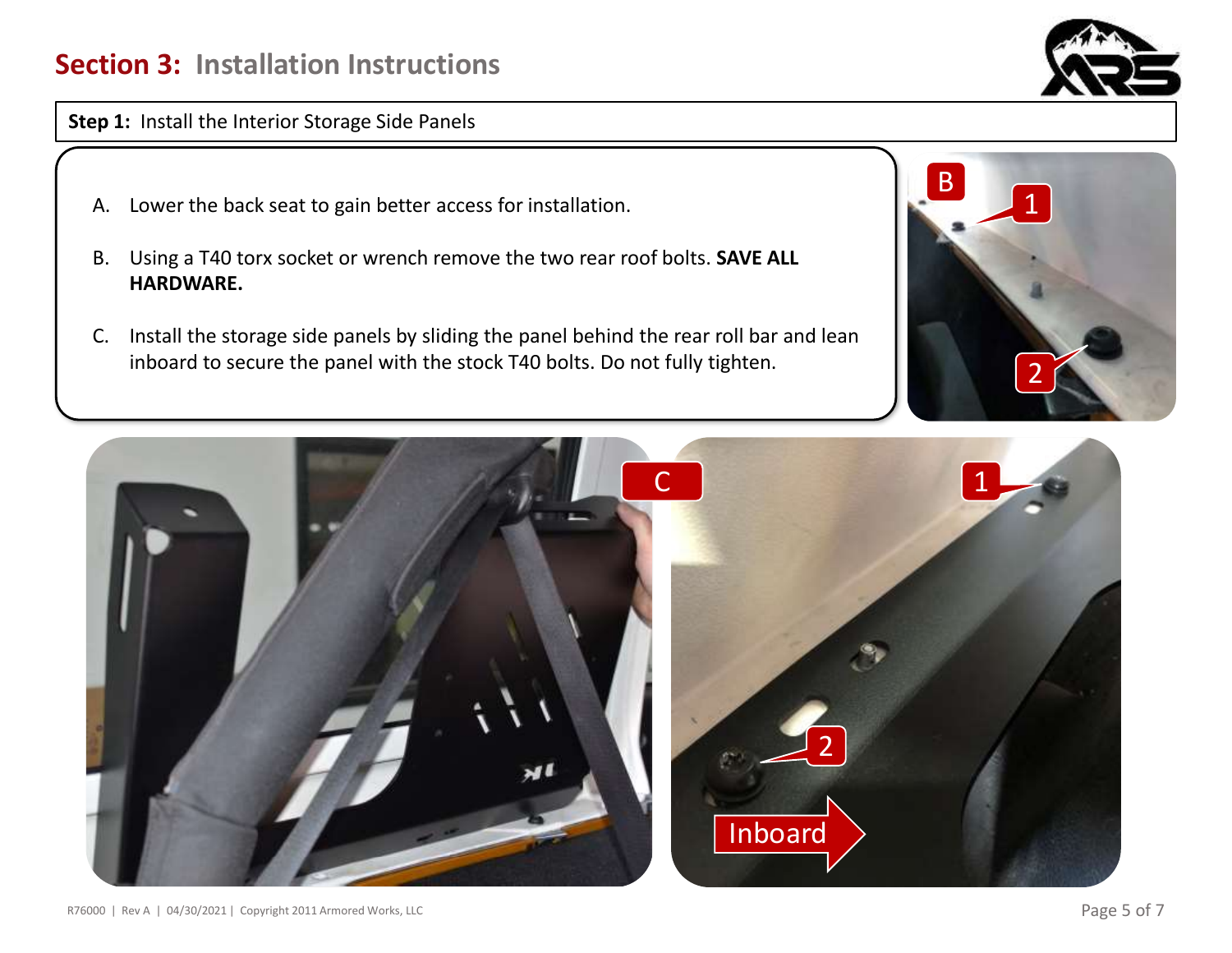## **Section 3: Installation Instructions**



**Step 1:** Install the Interior Storage Side Panels

- A. Lower the back seat to gain better access for installation.
- B. Using a T40 torx socket or wrench remove the two rear roof bolts. **SAVE ALL HARDWARE.**
- C. Install the storage side panels by sliding the panel behind the rear roll bar and lean inboard to secure the panel with the stock T40 bolts. Do not fully tighten.



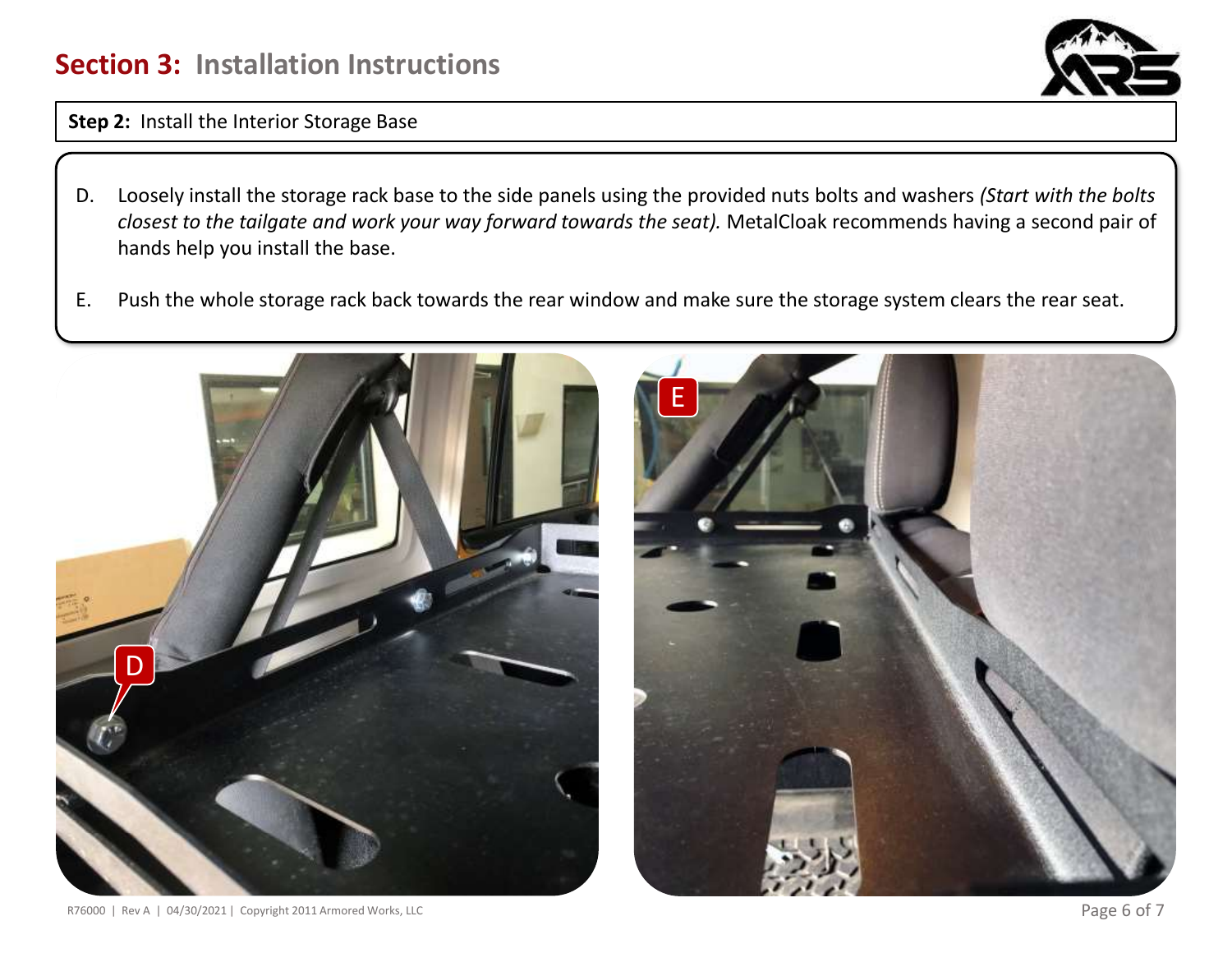## **Section 3: Installation Instructions**



**Step 2:** Install the Interior Storage Base

- D. Loosely install the storage rack base to the side panels using the provided nuts bolts and washers *(Start with the bolts closest to the tailgate and work your way forward towards the seat).* MetalCloak recommends having a second pair of hands help you install the base.
- E. Push the whole storage rack back towards the rear window and make sure the storage system clears the rear seat.